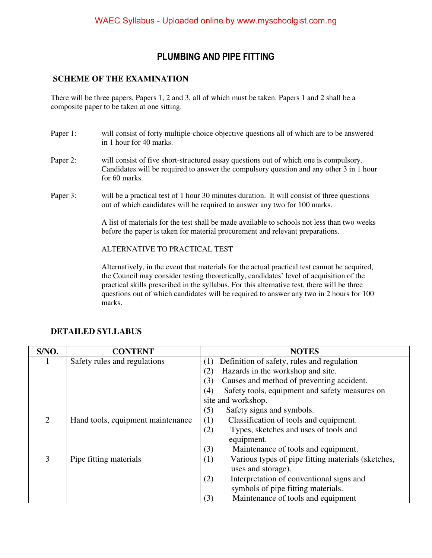### **PLUMBING AND PIPE FITTING**

#### **SCHEME OF THE EXAMINATION**

There will be three papers, Papers 1, 2 and 3, all of which must be taken. Papers 1 and 2 shall be a composite paper to be taken at one sitting.

- Paper 1: will consist of forty multiple-choice objective questions all of which are to be answered in 1 hour for 40 marks.
- Paper 2: will consist of five short-structured essay questions out of which one is compulsory. Candidates will be required to answer the compulsory question and any other 3 in 1 hour for 60 marks.
- Paper 3: will be a practical test of 1 hour 30 minutes duration. It will consist of three questions out of which candidates will be required to answer any two for 100 marks.

A list of materials for the test shall be made available to schools not less than two weeks before the paper is taken for material procurement and relevant preparations.

ALTERNATIVE TO PRACTICAL TEST

Alternatively, in the event that materials for the actual practical test cannot be acquired, the Council may consider testing theoretically, candidates' level of acquisition of the practical skills prescribed in the syllabus. For this alternative test, there will be three questions out of which candidates will be required to answer any two in 2 hours for 100 marks.

| S/NO.                       | <b>CONTENT</b>                    | <b>NOTES</b>                                              |  |
|-----------------------------|-----------------------------------|-----------------------------------------------------------|--|
|                             | Safety rules and regulations      | Definition of safety, rules and regulation<br>(1)         |  |
|                             |                                   | Hazards in the workshop and site.<br>(2)                  |  |
|                             |                                   | Causes and method of preventing accident.<br>(3)          |  |
|                             |                                   | Safety tools, equipment and safety measures on<br>(4)     |  |
|                             |                                   | site and workshop.                                        |  |
|                             |                                   | Safety signs and symbols.<br>(5)                          |  |
| $\mathcal{D}_{\mathcal{L}}$ | Hand tools, equipment maintenance | Classification of tools and equipment.<br>(1)             |  |
|                             |                                   | Types, sketches and uses of tools and<br>(2)              |  |
|                             |                                   | equipment.                                                |  |
|                             |                                   | (3)<br>Maintenance of tools and equipment.                |  |
| 3                           | Pipe fitting materials            | Various types of pipe fitting materials (sketches,<br>(1) |  |
|                             |                                   | uses and storage).                                        |  |
|                             |                                   | Interpretation of conventional signs and<br>(2)           |  |
|                             |                                   | symbols of pipe fitting materials.                        |  |
|                             |                                   | Maintenance of tools and equipment<br>(3)                 |  |

#### **DETAILED SYLLABUS**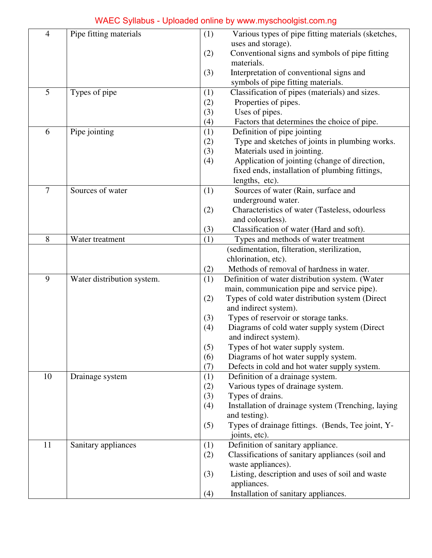# WAEC Syllabus - Uploaded online by www.myschoolgist.com.ng

| $\overline{4}$ | Pipe fitting materials     | (1)        | Various types of pipe fitting materials (sketches,         |  |
|----------------|----------------------------|------------|------------------------------------------------------------|--|
|                |                            |            | uses and storage).                                         |  |
|                |                            | (2)        | Conventional signs and symbols of pipe fitting             |  |
|                |                            |            | materials.                                                 |  |
|                |                            | (3)        | Interpretation of conventional signs and                   |  |
|                |                            |            | symbols of pipe fitting materials.                         |  |
| 5              | Types of pipe              | (1)        | Classification of pipes (materials) and sizes.             |  |
|                |                            | (2)        | Properties of pipes.                                       |  |
|                |                            | (3)        | Uses of pipes.                                             |  |
|                |                            | (4)        | Factors that determines the choice of pipe.                |  |
| 6              | Pipe jointing              | (1)        | Definition of pipe jointing                                |  |
|                |                            | (2)        | Type and sketches of joints in plumbing works.             |  |
|                |                            | (3)        | Materials used in jointing.                                |  |
|                |                            | (4)        | Application of jointing (change of direction,              |  |
|                |                            |            | fixed ends, installation of plumbing fittings,             |  |
|                |                            |            | lengths, etc).                                             |  |
| $\overline{7}$ | Sources of water           | (1)        | Sources of water (Rain, surface and                        |  |
|                |                            |            | underground water.                                         |  |
|                |                            | (2)        | Characteristics of water (Tasteless, odourless             |  |
|                |                            |            | and colourless).                                           |  |
|                |                            | (3)        | Classification of water (Hard and soft).                   |  |
| 8              | Water treatment            | (1)        | Types and methods of water treatment                       |  |
|                |                            |            | (sedimentation, filteration, sterilization,                |  |
|                |                            |            | chlorination, etc).                                        |  |
|                |                            | (2)        | Methods of removal of hardness in water.                   |  |
| 9              | Water distribution system. | (1)        | Definition of water distribution system. (Water            |  |
|                |                            |            | main, communication pipe and service pipe).                |  |
|                |                            | (2)        | Types of cold water distribution system (Direct            |  |
|                |                            |            | and indirect system).                                      |  |
|                |                            | (3)        | Types of reservoir or storage tanks.                       |  |
|                |                            | (4)        | Diagrams of cold water supply system (Direct               |  |
|                |                            |            | and indirect system).<br>Types of hot water supply system. |  |
|                |                            | (5)<br>(6) | Diagrams of hot water supply system.                       |  |
|                |                            | (7)        | Defects in cold and hot water supply system.               |  |
| 10             | Drainage system            | (1)        | Definition of a drainage system.                           |  |
|                |                            | (2)        | Various types of drainage system.                          |  |
|                |                            | (3)        | Types of drains.                                           |  |
|                |                            | (4)        | Installation of drainage system (Trenching, laying         |  |
|                |                            |            | and testing).                                              |  |
|                |                            | (5)        | Types of drainage fittings. (Bends, Tee joint, Y-          |  |
|                |                            |            | joints, etc).                                              |  |
| 11             | Sanitary appliances        | (1)        | Definition of sanitary appliance.                          |  |
|                |                            | (2)        | Classifications of sanitary appliances (soil and           |  |
|                |                            |            | waste appliances).                                         |  |
|                |                            | (3)        | Listing, description and uses of soil and waste            |  |
|                |                            |            | appliances.                                                |  |
|                |                            | (4)        | Installation of sanitary appliances.                       |  |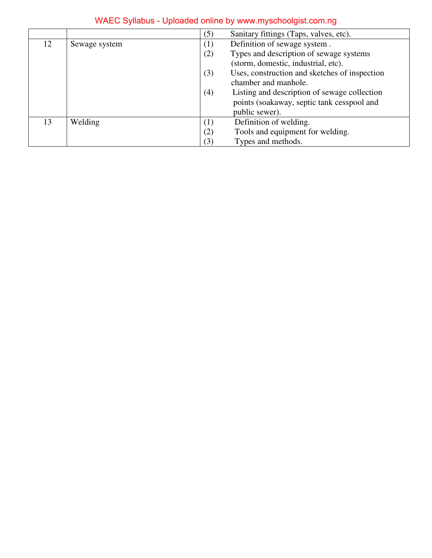|    |                                                      | (5)                                                                                   | Sanitary fittings (Taps, valves, etc).        |
|----|------------------------------------------------------|---------------------------------------------------------------------------------------|-----------------------------------------------|
| 12 | Definition of sewage system.<br>(1)<br>Sewage system |                                                                                       |                                               |
|    |                                                      | Types and description of sewage systems<br>(2)<br>(storm, domestic, industrial, etc). |                                               |
|    |                                                      |                                                                                       |                                               |
|    |                                                      | (3)                                                                                   | Uses, construction and sketches of inspection |
|    |                                                      | chamber and manhole.                                                                  |                                               |
|    |                                                      | Listing and description of sewage collection<br>(4)                                   |                                               |
|    |                                                      |                                                                                       | points (soakaway, septic tank cesspool and    |
|    |                                                      |                                                                                       | public sewer).                                |
| 13 | Welding                                              | (1)                                                                                   | Definition of welding.                        |
|    |                                                      | (2)                                                                                   | Tools and equipment for welding.              |
|    |                                                      | (3)                                                                                   | Types and methods.                            |

# WAEC Syllabus - Uploaded online by www.myschoolgist.com.ng